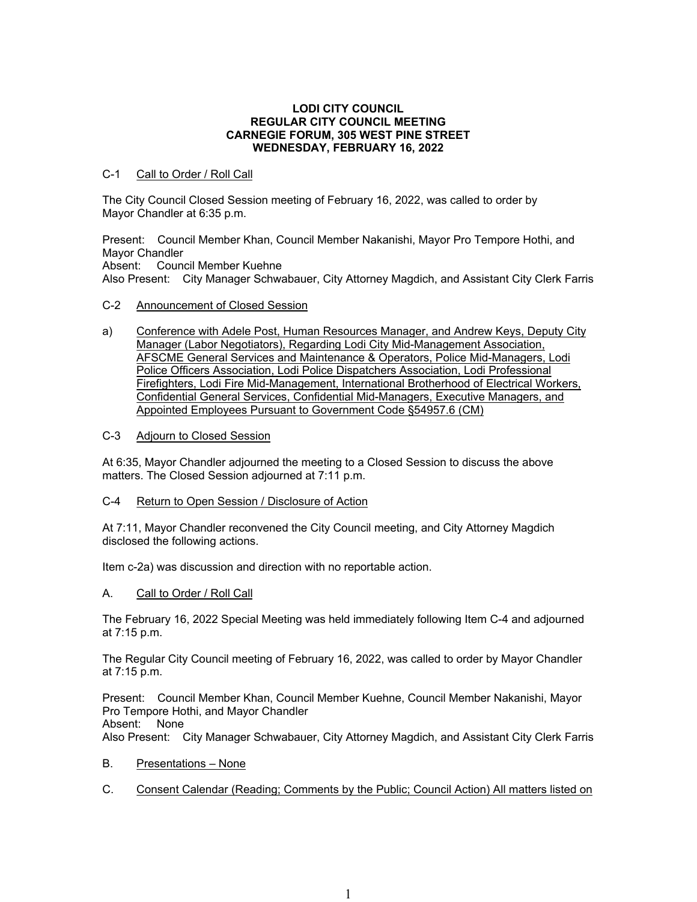### **LODI CITY COUNCIL REGULAR CITY COUNCIL MEETING CARNEGIE FORUM, 305 WEST PINE STREET WEDNESDAY, FEBRUARY 16, 2022**

# C-1 Call to Order / Roll Call

The City Council Closed Session meeting of February 16, 2022, was called to order by Mayor Chandler at 6:35 p.m.

Present: Council Member Khan, Council Member Nakanishi, Mayor Pro Tempore Hothi, and Mayor Chandler Absent: Council Member Kuehne

Also Present: City Manager Schwabauer, City Attorney Magdich, and Assistant City Clerk Farris

- C-2 Announcement of Closed Session
- a) Conference with Adele Post, Human Resources Manager, and Andrew Keys, Deputy City Manager (Labor Negotiators), Regarding Lodi City Mid-Management Association, AFSCME General Services and Maintenance & Operators, Police Mid-Managers, Lodi Police Officers Association, Lodi Police Dispatchers Association, Lodi Professional Firefighters, Lodi Fire Mid-Management, International Brotherhood of Electrical Workers, Confidential General Services, Confidential Mid-Managers, Executive Managers, and Appointed Employees Pursuant to Government Code §54957.6 (CM)
- C-3 Adjourn to Closed Session

At 6:35, Mayor Chandler adjourned the meeting to a Closed Session to discuss the above matters. The Closed Session adjourned at 7:11 p.m.

C-4 Return to Open Session / Disclosure of Action

At 7:11, Mayor Chandler reconvened the City Council meeting, and City Attorney Magdich disclosed the following actions.

Item c-2a) was discussion and direction with no reportable action.

## A. Call to Order / Roll Call

The February 16, 2022 Special Meeting was held immediately following Item C-4 and adjourned at 7:15 p.m.

The Regular City Council meeting of February 16, 2022, was called to order by Mayor Chandler at 7:15 p.m.

Present: Council Member Khan, Council Member Kuehne, Council Member Nakanishi, Mayor Pro Tempore Hothi, and Mayor Chandler Absent: None

Also Present: City Manager Schwabauer, City Attorney Magdich, and Assistant City Clerk Farris

- B. Presentations None
- C. Consent Calendar (Reading; Comments by the Public; Council Action) All matters listed on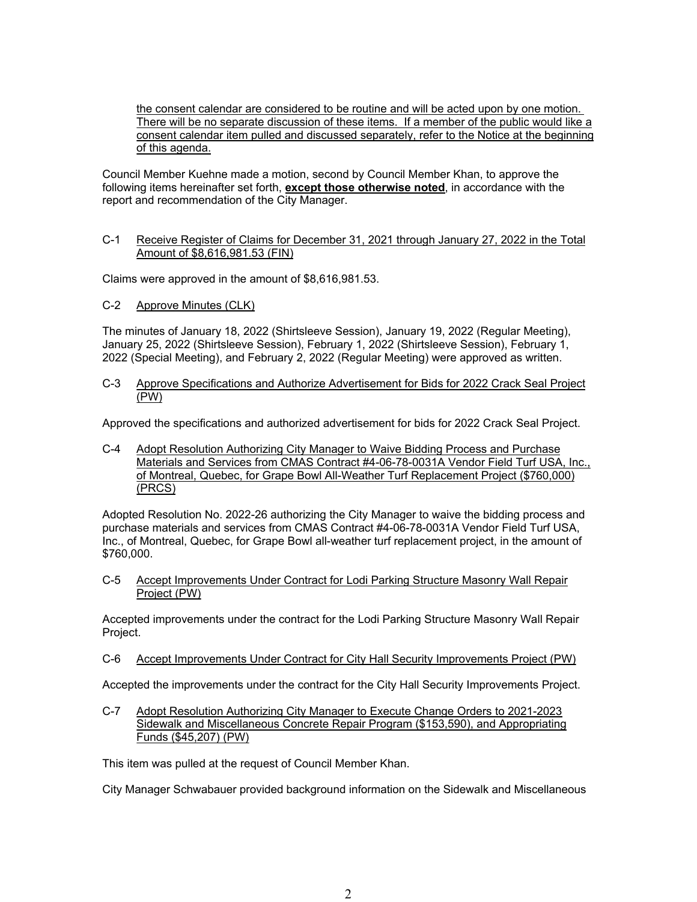the consent calendar are considered to be routine and will be acted upon by one motion. There will be no separate discussion of these items. If a member of the public would like a consent calendar item pulled and discussed separately, refer to the Notice at the beginning of this agenda.

Council Member Kuehne made a motion, second by Council Member Khan, to approve the following items hereinafter set forth, **except those otherwise noted**, in accordance with the report and recommendation of the City Manager.

# C-1 Receive Register of Claims for December 31, 2021 through January 27, 2022 in the Total Amount of \$8,616,981.53 (FIN)

Claims were approved in the amount of \$8,616,981.53.

C-2 Approve Minutes (CLK)

The minutes of January 18, 2022 (Shirtsleeve Session), January 19, 2022 (Regular Meeting), January 25, 2022 (Shirtsleeve Session), February 1, 2022 (Shirtsleeve Session), February 1, 2022 (Special Meeting), and February 2, 2022 (Regular Meeting) were approved as written.

C-3 Approve Specifications and Authorize Advertisement for Bids for 2022 Crack Seal Project (PW)

Approved the specifications and authorized advertisement for bids for 2022 Crack Seal Project.

C-4 Adopt Resolution Authorizing City Manager to Waive Bidding Process and Purchase Materials and Services from CMAS Contract #4-06-78-0031A Vendor Field Turf USA, Inc., of Montreal, Quebec, for Grape Bowl All-Weather Turf Replacement Project (\$760,000) (PRCS)

Adopted Resolution No. 2022-26 authorizing the City Manager to waive the bidding process and purchase materials and services from CMAS Contract #4-06-78-0031A Vendor Field Turf USA, Inc., of Montreal, Quebec, for Grape Bowl all-weather turf replacement project, in the amount of \$760,000.

C-5 Accept Improvements Under Contract for Lodi Parking Structure Masonry Wall Repair Project (PW)

Accepted improvements under the contract for the Lodi Parking Structure Masonry Wall Repair Project.

C-6 Accept Improvements Under Contract for City Hall Security Improvements Project (PW)

Accepted the improvements under the contract for the City Hall Security Improvements Project.

C-7 Adopt Resolution Authorizing City Manager to Execute Change Orders to 2021-2023 Sidewalk and Miscellaneous Concrete Repair Program (\$153,590), and Appropriating Funds (\$45,207) (PW)

This item was pulled at the request of Council Member Khan.

City Manager Schwabauer provided background information on the Sidewalk and Miscellaneous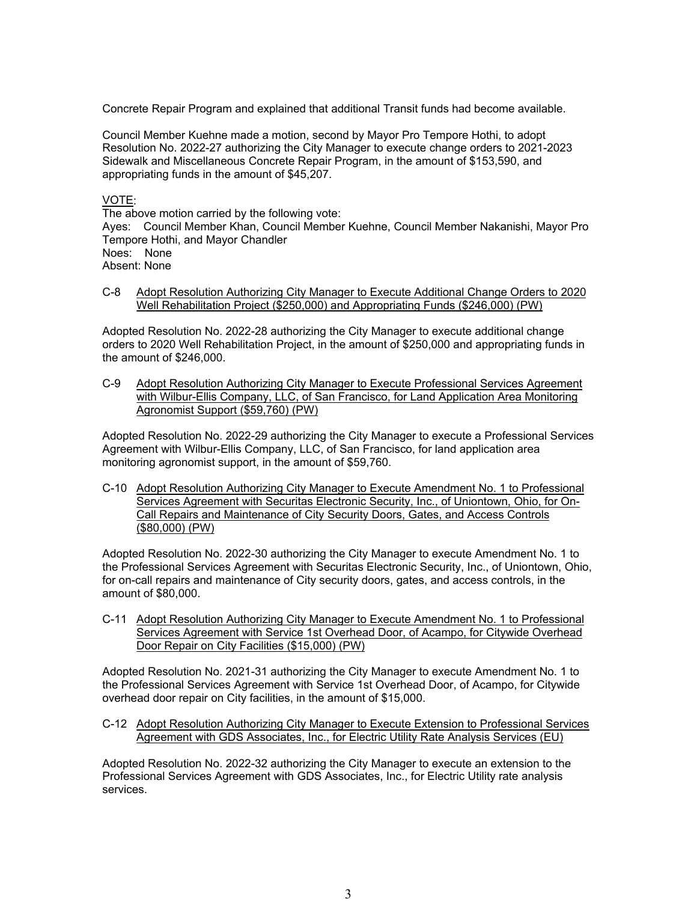Concrete Repair Program and explained that additional Transit funds had become available.

Council Member Kuehne made a motion, second by Mayor Pro Tempore Hothi, to adopt Resolution No. 2022-27 authorizing the City Manager to execute change orders to 2021-2023 Sidewalk and Miscellaneous Concrete Repair Program, in the amount of \$153,590, and appropriating funds in the amount of \$45,207.

# VOTE:

The above motion carried by the following vote:

Ayes: Council Member Khan, Council Member Kuehne, Council Member Nakanishi, Mayor Pro Tempore Hothi, and Mayor Chandler

Noes: None Absent: None

C-8 Adopt Resolution Authorizing City Manager to Execute Additional Change Orders to 2020 Well Rehabilitation Project (\$250,000) and Appropriating Funds (\$246,000) (PW)

Adopted Resolution No. 2022-28 authorizing the City Manager to execute additional change orders to 2020 Well Rehabilitation Project, in the amount of \$250,000 and appropriating funds in the amount of \$246,000.

C-9 Adopt Resolution Authorizing City Manager to Execute Professional Services Agreement with Wilbur-Ellis Company, LLC, of San Francisco, for Land Application Area Monitoring Agronomist Support (\$59,760) (PW)

Adopted Resolution No. 2022-29 authorizing the City Manager to execute a Professional Services Agreement with Wilbur-Ellis Company, LLC, of San Francisco, for land application area monitoring agronomist support, in the amount of \$59,760.

C-10 Adopt Resolution Authorizing City Manager to Execute Amendment No. 1 to Professional Services Agreement with Securitas Electronic Security, Inc., of Uniontown, Ohio, for On-Call Repairs and Maintenance of City Security Doors, Gates, and Access Controls (\$80,000) (PW)

Adopted Resolution No. 2022-30 authorizing the City Manager to execute Amendment No. 1 to the Professional Services Agreement with Securitas Electronic Security, Inc., of Uniontown, Ohio, for on-call repairs and maintenance of City security doors, gates, and access controls, in the amount of \$80,000.

C-11 Adopt Resolution Authorizing City Manager to Execute Amendment No. 1 to Professional Services Agreement with Service 1st Overhead Door, of Acampo, for Citywide Overhead Door Repair on City Facilities (\$15,000) (PW)

Adopted Resolution No. 2021-31 authorizing the City Manager to execute Amendment No. 1 to the Professional Services Agreement with Service 1st Overhead Door, of Acampo, for Citywide overhead door repair on City facilities, in the amount of \$15,000.

C-12 Adopt Resolution Authorizing City Manager to Execute Extension to Professional Services Agreement with GDS Associates, Inc., for Electric Utility Rate Analysis Services (EU)

Adopted Resolution No. 2022-32 authorizing the City Manager to execute an extension to the Professional Services Agreement with GDS Associates, Inc., for Electric Utility rate analysis services.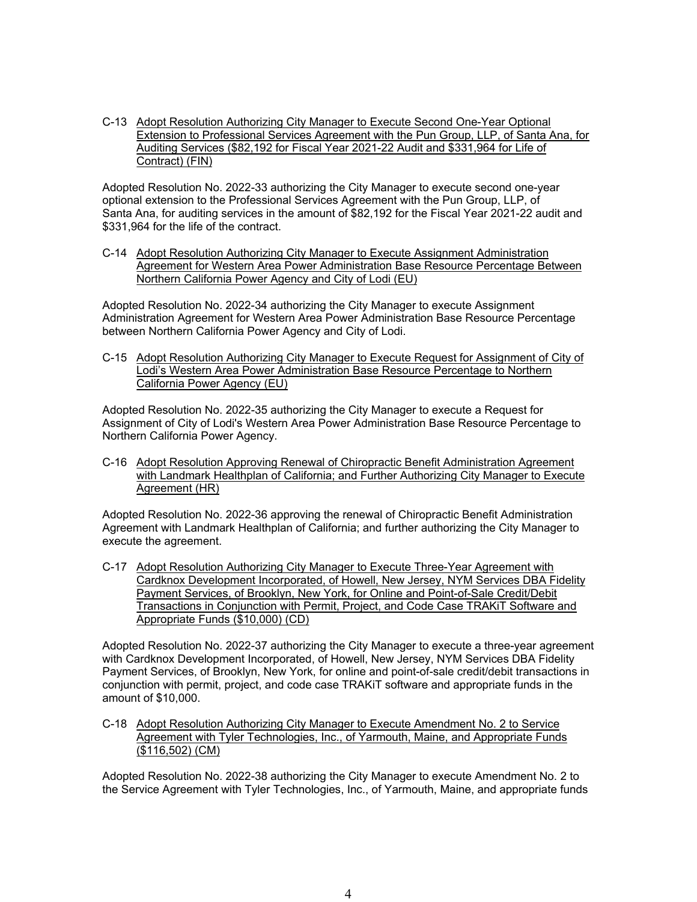C-13 Adopt Resolution Authorizing City Manager to Execute Second One-Year Optional Extension to Professional Services Agreement with the Pun Group, LLP, of Santa Ana, for Auditing Services (\$82,192 for Fiscal Year 2021-22 Audit and \$331,964 for Life of Contract) (FIN)

Adopted Resolution No. 2022-33 authorizing the City Manager to execute second one-year optional extension to the Professional Services Agreement with the Pun Group, LLP, of Santa Ana, for auditing services in the amount of \$82,192 for the Fiscal Year 2021-22 audit and \$331,964 for the life of the contract.

C-14 Adopt Resolution Authorizing City Manager to Execute Assignment Administration Agreement for Western Area Power Administration Base Resource Percentage Between Northern California Power Agency and City of Lodi (EU)

Adopted Resolution No. 2022-34 authorizing the City Manager to execute Assignment Administration Agreement for Western Area Power Administration Base Resource Percentage between Northern California Power Agency and City of Lodi.

C-15 Adopt Resolution Authorizing City Manager to Execute Request for Assignment of City of Lodi's Western Area Power Administration Base Resource Percentage to Northern California Power Agency (EU)

Adopted Resolution No. 2022-35 authorizing the City Manager to execute a Request for Assignment of City of Lodi's Western Area Power Administration Base Resource Percentage to Northern California Power Agency.

C-16 Adopt Resolution Approving Renewal of Chiropractic Benefit Administration Agreement with Landmark Healthplan of California; and Further Authorizing City Manager to Execute Agreement (HR)

Adopted Resolution No. 2022-36 approving the renewal of Chiropractic Benefit Administration Agreement with Landmark Healthplan of California; and further authorizing the City Manager to execute the agreement.

C-17 Adopt Resolution Authorizing City Manager to Execute Three-Year Agreement with Cardknox Development Incorporated, of Howell, New Jersey, NYM Services DBA Fidelity Payment Services, of Brooklyn, New York, for Online and Point-of-Sale Credit/Debit Transactions in Conjunction with Permit, Project, and Code Case TRAKiT Software and Appropriate Funds (\$10,000) (CD)

Adopted Resolution No. 2022-37 authorizing the City Manager to execute a three-year agreement with Cardknox Development Incorporated, of Howell, New Jersey, NYM Services DBA Fidelity Payment Services, of Brooklyn, New York, for online and point-of-sale credit/debit transactions in conjunction with permit, project, and code case TRAKiT software and appropriate funds in the amount of \$10,000.

C-18 Adopt Resolution Authorizing City Manager to Execute Amendment No. 2 to Service Agreement with Tyler Technologies, Inc., of Yarmouth, Maine, and Appropriate Funds (\$116,502) (CM)

Adopted Resolution No. 2022-38 authorizing the City Manager to execute Amendment No. 2 to the Service Agreement with Tyler Technologies, Inc., of Yarmouth, Maine, and appropriate funds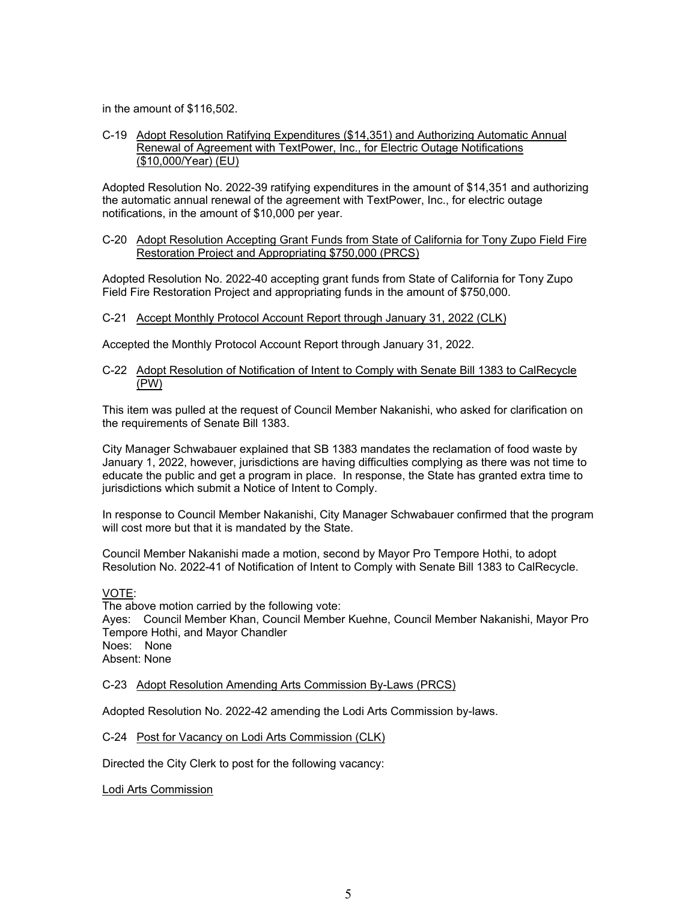in the amount of \$116,502.

### C-19 Adopt Resolution Ratifying Expenditures (\$14,351) and Authorizing Automatic Annual Renewal of Agreement with TextPower, Inc., for Electric Outage Notifications (\$10,000/Year) (EU)

Adopted Resolution No. 2022-39 ratifying expenditures in the amount of \$14,351 and authorizing the automatic annual renewal of the agreement with TextPower, Inc., for electric outage notifications, in the amount of \$10,000 per year.

## C-20 Adopt Resolution Accepting Grant Funds from State of California for Tony Zupo Field Fire Restoration Project and Appropriating \$750,000 (PRCS)

Adopted Resolution No. 2022-40 accepting grant funds from State of California for Tony Zupo Field Fire Restoration Project and appropriating funds in the amount of \$750,000.

### C-21 Accept Monthly Protocol Account Report through January 31, 2022 (CLK)

Accepted the Monthly Protocol Account Report through January 31, 2022.

### C-22 Adopt Resolution of Notification of Intent to Comply with Senate Bill 1383 to CalRecycle (PW)

This item was pulled at the request of Council Member Nakanishi, who asked for clarification on the requirements of Senate Bill 1383.

City Manager Schwabauer explained that SB 1383 mandates the reclamation of food waste by January 1, 2022, however, jurisdictions are having difficulties complying as there was not time to educate the public and get a program in place. In response, the State has granted extra time to jurisdictions which submit a Notice of Intent to Comply.

In response to Council Member Nakanishi, City Manager Schwabauer confirmed that the program will cost more but that it is mandated by the State.

Council Member Nakanishi made a motion, second by Mayor Pro Tempore Hothi, to adopt Resolution No. 2022-41 of Notification of Intent to Comply with Senate Bill 1383 to CalRecycle.

VOTE:

The above motion carried by the following vote: Ayes: Council Member Khan, Council Member Kuehne, Council Member Nakanishi, Mayor Pro Tempore Hothi, and Mayor Chandler Noes: None Absent: None

C-23 Adopt Resolution Amending Arts Commission By-Laws (PRCS)

Adopted Resolution No. 2022-42 amending the Lodi Arts Commission by-laws.

C-24 Post for Vacancy on Lodi Arts Commission (CLK)

Directed the City Clerk to post for the following vacancy:

Lodi Arts Commission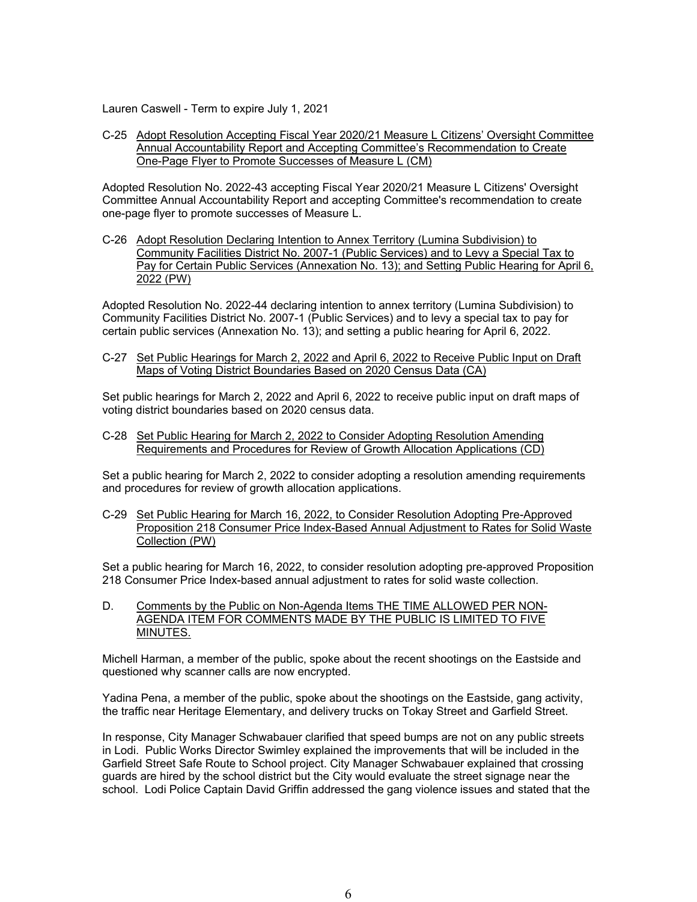Lauren Caswell - Term to expire July 1, 2021

C-25 Adopt Resolution Accepting Fiscal Year 2020/21 Measure L Citizens' Oversight Committee Annual Accountability Report and Accepting Committee's Recommendation to Create One-Page Flyer to Promote Successes of Measure L (CM)

Adopted Resolution No. 2022-43 accepting Fiscal Year 2020/21 Measure L Citizens' Oversight Committee Annual Accountability Report and accepting Committee's recommendation to create one-page flyer to promote successes of Measure L.

C-26 Adopt Resolution Declaring Intention to Annex Territory (Lumina Subdivision) to Community Facilities District No. 2007-1 (Public Services) and to Levy a Special Tax to Pay for Certain Public Services (Annexation No. 13); and Setting Public Hearing for April 6, 2022 (PW)

Adopted Resolution No. 2022-44 declaring intention to annex territory (Lumina Subdivision) to Community Facilities District No. 2007-1 (Public Services) and to levy a special tax to pay for certain public services (Annexation No. 13); and setting a public hearing for April 6, 2022.

C-27 Set Public Hearings for March 2, 2022 and April 6, 2022 to Receive Public Input on Draft Maps of Voting District Boundaries Based on 2020 Census Data (CA)

Set public hearings for March 2, 2022 and April 6, 2022 to receive public input on draft maps of voting district boundaries based on 2020 census data.

C-28 Set Public Hearing for March 2, 2022 to Consider Adopting Resolution Amending Requirements and Procedures for Review of Growth Allocation Applications (CD)

Set a public hearing for March 2, 2022 to consider adopting a resolution amending requirements and procedures for review of growth allocation applications.

C-29 Set Public Hearing for March 16, 2022, to Consider Resolution Adopting Pre-Approved Proposition 218 Consumer Price Index-Based Annual Adjustment to Rates for Solid Waste Collection (PW)

Set a public hearing for March 16, 2022, to consider resolution adopting pre-approved Proposition 218 Consumer Price Index-based annual adjustment to rates for solid waste collection.

D. Comments by the Public on Non-Agenda Items THE TIME ALLOWED PER NON-AGENDA ITEM FOR COMMENTS MADE BY THE PUBLIC IS LIMITED TO FIVE MINUTES.

Michell Harman, a member of the public, spoke about the recent shootings on the Eastside and questioned why scanner calls are now encrypted.

Yadina Pena, a member of the public, spoke about the shootings on the Eastside, gang activity, the traffic near Heritage Elementary, and delivery trucks on Tokay Street and Garfield Street.

In response, City Manager Schwabauer clarified that speed bumps are not on any public streets in Lodi. Public Works Director Swimley explained the improvements that will be included in the Garfield Street Safe Route to School project. City Manager Schwabauer explained that crossing guards are hired by the school district but the City would evaluate the street signage near the school. Lodi Police Captain David Griffin addressed the gang violence issues and stated that the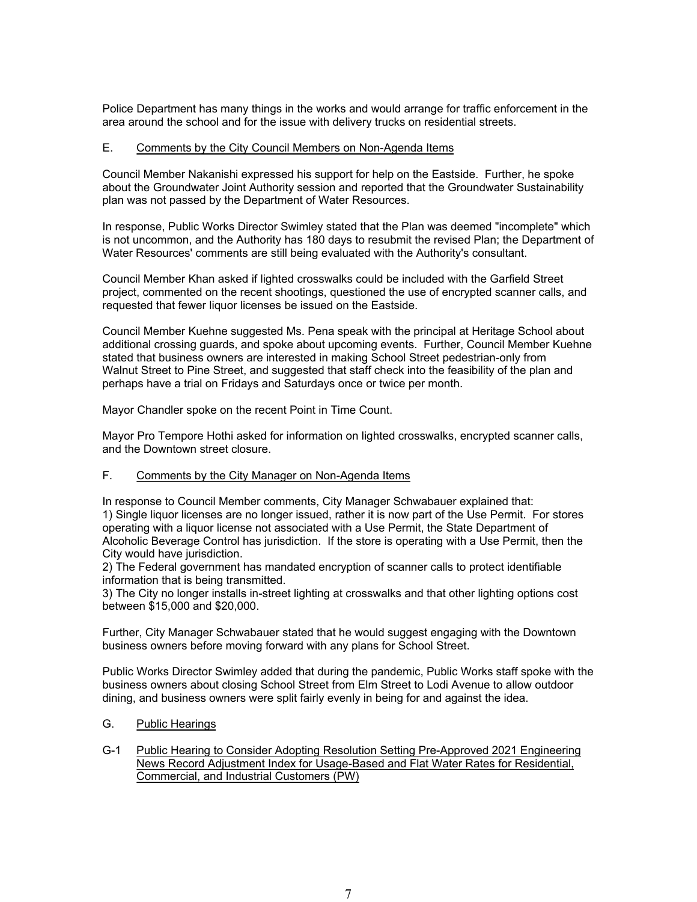Police Department has many things in the works and would arrange for traffic enforcement in the area around the school and for the issue with delivery trucks on residential streets.

### E. Comments by the City Council Members on Non-Agenda Items

Council Member Nakanishi expressed his support for help on the Eastside. Further, he spoke about the Groundwater Joint Authority session and reported that the Groundwater Sustainability plan was not passed by the Department of Water Resources.

In response, Public Works Director Swimley stated that the Plan was deemed "incomplete" which is not uncommon, and the Authority has 180 days to resubmit the revised Plan; the Department of Water Resources' comments are still being evaluated with the Authority's consultant.

Council Member Khan asked if lighted crosswalks could be included with the Garfield Street project, commented on the recent shootings, questioned the use of encrypted scanner calls, and requested that fewer liquor licenses be issued on the Eastside.

Council Member Kuehne suggested Ms. Pena speak with the principal at Heritage School about additional crossing guards, and spoke about upcoming events. Further, Council Member Kuehne stated that business owners are interested in making School Street pedestrian-only from Walnut Street to Pine Street, and suggested that staff check into the feasibility of the plan and perhaps have a trial on Fridays and Saturdays once or twice per month.

Mayor Chandler spoke on the recent Point in Time Count.

Mayor Pro Tempore Hothi asked for information on lighted crosswalks, encrypted scanner calls, and the Downtown street closure.

## F. Comments by the City Manager on Non-Agenda Items

In response to Council Member comments, City Manager Schwabauer explained that: 1) Single liquor licenses are no longer issued, rather it is now part of the Use Permit. For stores operating with a liquor license not associated with a Use Permit, the State Department of Alcoholic Beverage Control has jurisdiction. If the store is operating with a Use Permit, then the City would have jurisdiction.

2) The Federal government has mandated encryption of scanner calls to protect identifiable information that is being transmitted.

3) The City no longer installs in-street lighting at crosswalks and that other lighting options cost between \$15,000 and \$20,000.

Further, City Manager Schwabauer stated that he would suggest engaging with the Downtown business owners before moving forward with any plans for School Street.

Public Works Director Swimley added that during the pandemic, Public Works staff spoke with the business owners about closing School Street from Elm Street to Lodi Avenue to allow outdoor dining, and business owners were split fairly evenly in being for and against the idea.

## G. Public Hearings

## G-1 Public Hearing to Consider Adopting Resolution Setting Pre-Approved 2021 Engineering News Record Adjustment Index for Usage-Based and Flat Water Rates for Residential, Commercial, and Industrial Customers (PW)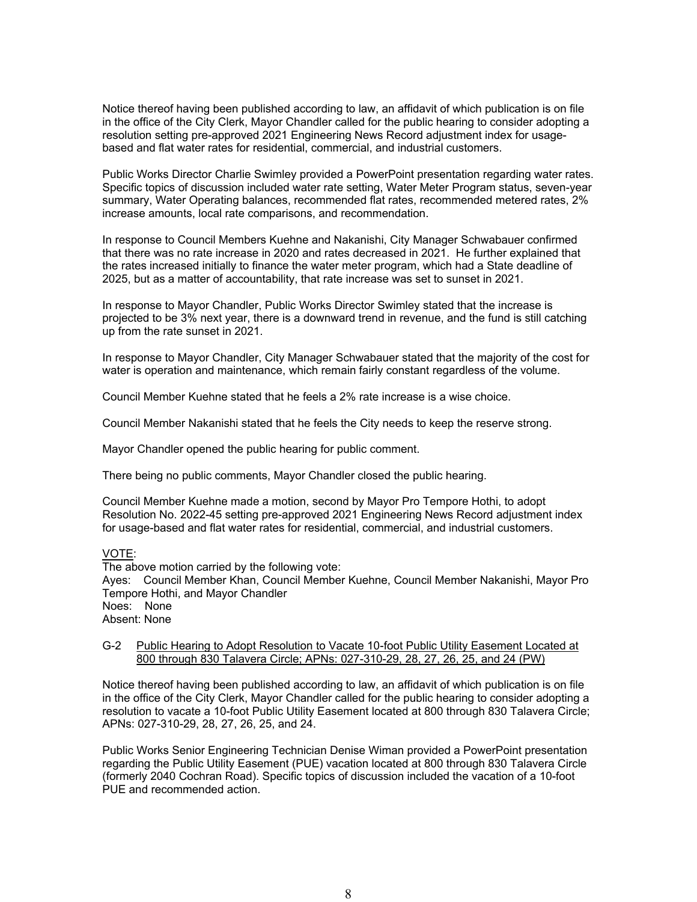Notice thereof having been published according to law, an affidavit of which publication is on file in the office of the City Clerk, Mayor Chandler called for the public hearing to consider adopting a resolution setting pre-approved 2021 Engineering News Record adjustment index for usagebased and flat water rates for residential, commercial, and industrial customers.

Public Works Director Charlie Swimley provided a PowerPoint presentation regarding water rates. Specific topics of discussion included water rate setting, Water Meter Program status, seven-year summary, Water Operating balances, recommended flat rates, recommended metered rates, 2% increase amounts, local rate comparisons, and recommendation.

In response to Council Members Kuehne and Nakanishi, City Manager Schwabauer confirmed that there was no rate increase in 2020 and rates decreased in 2021. He further explained that the rates increased initially to finance the water meter program, which had a State deadline of 2025, but as a matter of accountability, that rate increase was set to sunset in 2021.

In response to Mayor Chandler, Public Works Director Swimley stated that the increase is projected to be 3% next year, there is a downward trend in revenue, and the fund is still catching up from the rate sunset in 2021.

In response to Mayor Chandler, City Manager Schwabauer stated that the majority of the cost for water is operation and maintenance, which remain fairly constant regardless of the volume.

Council Member Kuehne stated that he feels a 2% rate increase is a wise choice.

Council Member Nakanishi stated that he feels the City needs to keep the reserve strong.

Mayor Chandler opened the public hearing for public comment.

There being no public comments, Mayor Chandler closed the public hearing.

Council Member Kuehne made a motion, second by Mayor Pro Tempore Hothi, to adopt Resolution No. 2022-45 setting pre-approved 2021 Engineering News Record adjustment index for usage-based and flat water rates for residential, commercial, and industrial customers.

#### VOTE:

The above motion carried by the following vote: Ayes: Council Member Khan, Council Member Kuehne, Council Member Nakanishi, Mayor Pro Tempore Hothi, and Mayor Chandler Noes: None Absent: None

# G-2 Public Hearing to Adopt Resolution to Vacate 10-foot Public Utility Easement Located at 800 through 830 Talavera Circle; APNs: 027-310-29, 28, 27, 26, 25, and 24 (PW)

Notice thereof having been published according to law, an affidavit of which publication is on file in the office of the City Clerk, Mayor Chandler called for the public hearing to consider adopting a resolution to vacate a 10-foot Public Utility Easement located at 800 through 830 Talavera Circle; APNs: 027-310-29, 28, 27, 26, 25, and 24.

Public Works Senior Engineering Technician Denise Wiman provided a PowerPoint presentation regarding the Public Utility Easement (PUE) vacation located at 800 through 830 Talavera Circle (formerly 2040 Cochran Road). Specific topics of discussion included the vacation of a 10-foot PUE and recommended action.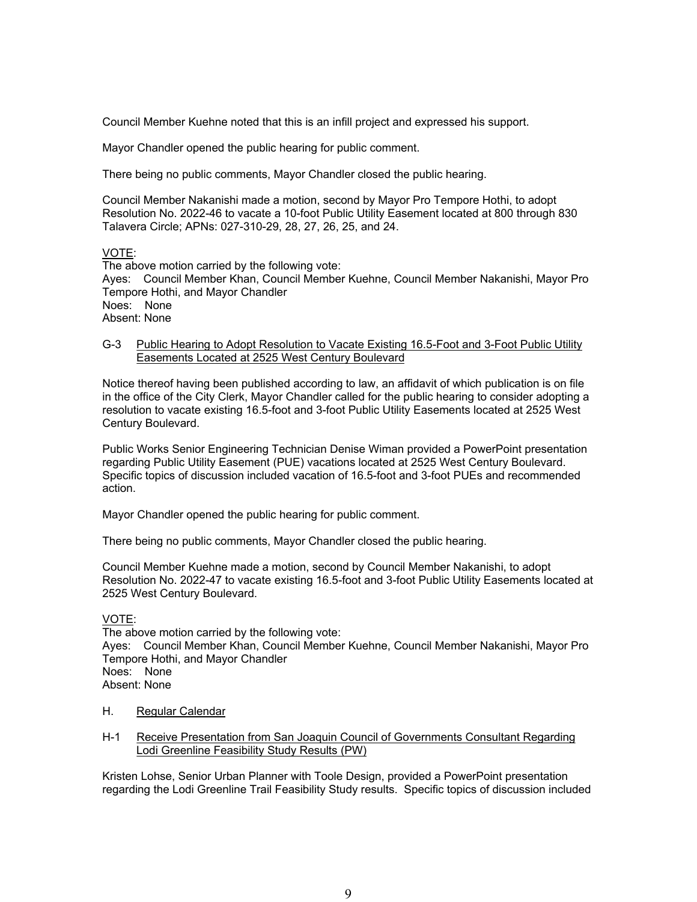Council Member Kuehne noted that this is an infill project and expressed his support.

Mayor Chandler opened the public hearing for public comment.

There being no public comments, Mayor Chandler closed the public hearing.

Council Member Nakanishi made a motion, second by Mayor Pro Tempore Hothi, to adopt Resolution No. 2022-46 to vacate a 10-foot Public Utility Easement located at 800 through 830 Talavera Circle; APNs: 027-310-29, 28, 27, 26, 25, and 24.

### VOTE:

The above motion carried by the following vote: Ayes: Council Member Khan, Council Member Kuehne, Council Member Nakanishi, Mayor Pro Tempore Hothi, and Mayor Chandler Noes: None Absent: None

# G-3 Public Hearing to Adopt Resolution to Vacate Existing 16.5-Foot and 3-Foot Public Utility Easements Located at 2525 West Century Boulevard

Notice thereof having been published according to law, an affidavit of which publication is on file in the office of the City Clerk, Mayor Chandler called for the public hearing to consider adopting a resolution to vacate existing 16.5-foot and 3-foot Public Utility Easements located at 2525 West Century Boulevard.

Public Works Senior Engineering Technician Denise Wiman provided a PowerPoint presentation regarding Public Utility Easement (PUE) vacations located at 2525 West Century Boulevard. Specific topics of discussion included vacation of 16.5-foot and 3-foot PUEs and recommended action.

Mayor Chandler opened the public hearing for public comment.

There being no public comments, Mayor Chandler closed the public hearing.

Council Member Kuehne made a motion, second by Council Member Nakanishi, to adopt Resolution No. 2022-47 to vacate existing 16.5-foot and 3-foot Public Utility Easements located at 2525 West Century Boulevard.

## VOTE:

The above motion carried by the following vote: Ayes: Council Member Khan, Council Member Kuehne, Council Member Nakanishi, Mayor Pro Tempore Hothi, and Mayor Chandler Noes: None Absent: None

- H. Regular Calendar
- H-1 Receive Presentation from San Joaquin Council of Governments Consultant Regarding Lodi Greenline Feasibility Study Results (PW)

Kristen Lohse, Senior Urban Planner with Toole Design, provided a PowerPoint presentation regarding the Lodi Greenline Trail Feasibility Study results. Specific topics of discussion included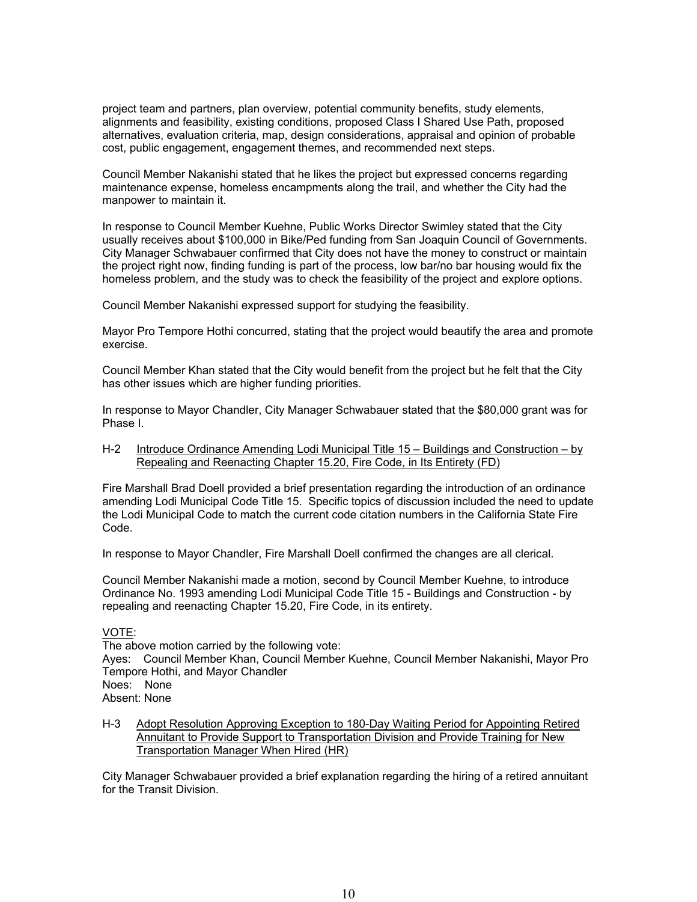project team and partners, plan overview, potential community benefits, study elements, alignments and feasibility, existing conditions, proposed Class I Shared Use Path, proposed alternatives, evaluation criteria, map, design considerations, appraisal and opinion of probable cost, public engagement, engagement themes, and recommended next steps.

Council Member Nakanishi stated that he likes the project but expressed concerns regarding maintenance expense, homeless encampments along the trail, and whether the City had the manpower to maintain it.

In response to Council Member Kuehne, Public Works Director Swimley stated that the City usually receives about \$100,000 in Bike/Ped funding from San Joaquin Council of Governments. City Manager Schwabauer confirmed that City does not have the money to construct or maintain the project right now, finding funding is part of the process, low bar/no bar housing would fix the homeless problem, and the study was to check the feasibility of the project and explore options.

Council Member Nakanishi expressed support for studying the feasibility.

Mayor Pro Tempore Hothi concurred, stating that the project would beautify the area and promote exercise.

Council Member Khan stated that the City would benefit from the project but he felt that the City has other issues which are higher funding priorities.

In response to Mayor Chandler, City Manager Schwabauer stated that the \$80,000 grant was for Phase I.

## H-2 Introduce Ordinance Amending Lodi Municipal Title 15 – Buildings and Construction – by Repealing and Reenacting Chapter 15.20, Fire Code, in Its Entirety (FD)

Fire Marshall Brad Doell provided a brief presentation regarding the introduction of an ordinance amending Lodi Municipal Code Title 15. Specific topics of discussion included the need to update the Lodi Municipal Code to match the current code citation numbers in the California State Fire Code.

In response to Mayor Chandler, Fire Marshall Doell confirmed the changes are all clerical.

Council Member Nakanishi made a motion, second by Council Member Kuehne, to introduce Ordinance No. 1993 amending Lodi Municipal Code Title 15 - Buildings and Construction - by repealing and reenacting Chapter 15.20, Fire Code, in its entirety.

# VOTE:

The above motion carried by the following vote: Ayes: Council Member Khan, Council Member Kuehne, Council Member Nakanishi, Mayor Pro Tempore Hothi, and Mayor Chandler Noes: None Absent: None

H-3 Adopt Resolution Approving Exception to 180-Day Waiting Period for Appointing Retired Annuitant to Provide Support to Transportation Division and Provide Training for New Transportation Manager When Hired (HR)

City Manager Schwabauer provided a brief explanation regarding the hiring of a retired annuitant for the Transit Division.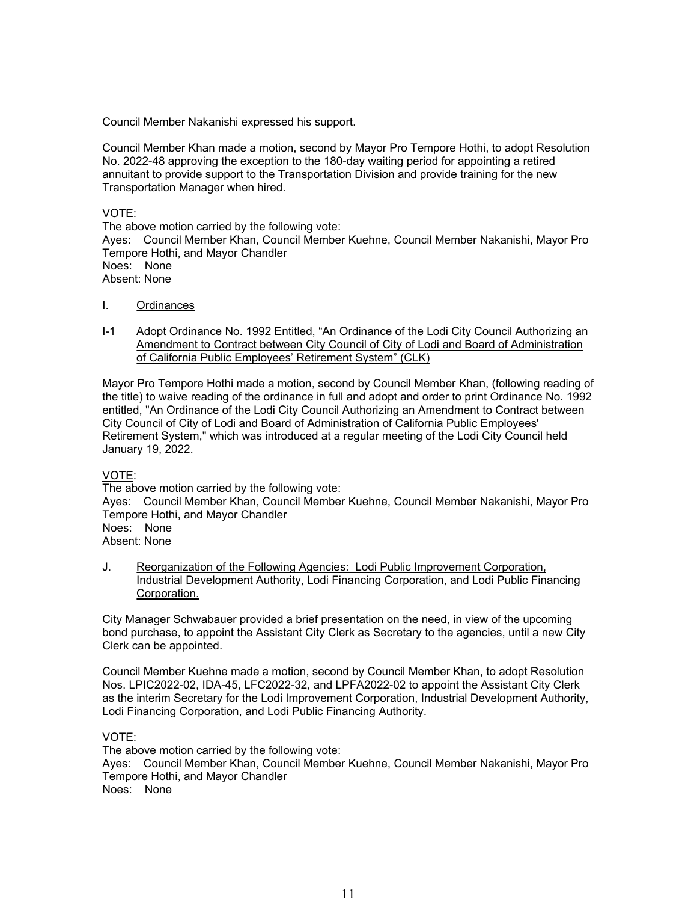Council Member Nakanishi expressed his support.

Council Member Khan made a motion, second by Mayor Pro Tempore Hothi, to adopt Resolution No. 2022-48 approving the exception to the 180-day waiting period for appointing a retired annuitant to provide support to the Transportation Division and provide training for the new Transportation Manager when hired.

VOTE:

The above motion carried by the following vote: Ayes: Council Member Khan, Council Member Kuehne, Council Member Nakanishi, Mayor Pro Tempore Hothi, and Mayor Chandler Noes: None Absent: None

- I. Ordinances
- I-1 Adopt Ordinance No. 1992 Entitled, "An Ordinance of the Lodi City Council Authorizing an Amendment to Contract between City Council of City of Lodi and Board of Administration of California Public Employees' Retirement System" (CLK)

Mayor Pro Tempore Hothi made a motion, second by Council Member Khan, (following reading of the title) to waive reading of the ordinance in full and adopt and order to print Ordinance No. 1992 entitled, "An Ordinance of the Lodi City Council Authorizing an Amendment to Contract between City Council of City of Lodi and Board of Administration of California Public Employees' Retirement System," which was introduced at a regular meeting of the Lodi City Council held January 19, 2022.

## VOTE:

The above motion carried by the following vote: Ayes: Council Member Khan, Council Member Kuehne, Council Member Nakanishi, Mayor Pro Tempore Hothi, and Mayor Chandler Noes: None

Absent: None

J. Reorganization of the Following Agencies: Lodi Public Improvement Corporation, Industrial Development Authority, Lodi Financing Corporation, and Lodi Public Financing Corporation.

City Manager Schwabauer provided a brief presentation on the need, in view of the upcoming bond purchase, to appoint the Assistant City Clerk as Secretary to the agencies, until a new City Clerk can be appointed.

Council Member Kuehne made a motion, second by Council Member Khan, to adopt Resolution Nos. LPIC2022-02, IDA-45, LFC2022-32, and LPFA2022-02 to appoint the Assistant City Clerk as the interim Secretary for the Lodi Improvement Corporation, Industrial Development Authority, Lodi Financing Corporation, and Lodi Public Financing Authority.

## VOTE:

The above motion carried by the following vote: Ayes: Council Member Khan, Council Member Kuehne, Council Member Nakanishi, Mayor Pro Tempore Hothi, and Mayor Chandler Noes: None